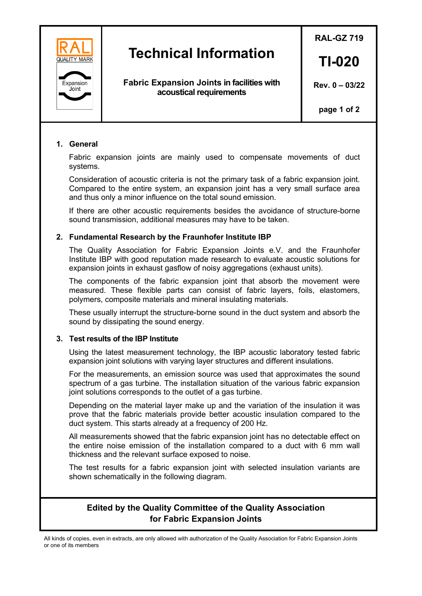

# **Technical Information**

**Fabric Expansion Joints in facilities with acoustical requirements**

**RAL-GZ 719**

**TI-020**

**Rev. 0 – 03/22**

**page 1 of 2**

## **1. General**

Fabric expansion joints are mainly used to compensate movements of duct systems.

Consideration of acoustic criteria is not the primary task of a fabric expansion joint. Compared to the entire system, an expansion joint has a very small surface area and thus only a minor influence on the total sound emission.

If there are other acoustic requirements besides the avoidance of structure-borne sound transmission, additional measures may have to be taken.

## **2. Fundamental Research by the Fraunhofer Institute IBP**

The Quality Association for Fabric Expansion Joints e.V. and the Fraunhofer Institute IBP with good reputation made research to evaluate acoustic solutions for expansion joints in exhaust gasflow of noisy aggregations (exhaust units).

The components of the fabric expansion joint that absorb the movement were measured. These flexible parts can consist of fabric layers, foils, elastomers, polymers, composite materials and mineral insulating materials.

These usually interrupt the structure-borne sound in the duct system and absorb the sound by dissipating the sound energy.

#### **3. Test results of the IBP Institute**

Using the latest measurement technology, the IBP acoustic laboratory tested fabric expansion joint solutions with varying layer structures and different insulations.

For the measurements, an emission source was used that approximates the sound spectrum of a gas turbine. The installation situation of the various fabric expansion joint solutions corresponds to the outlet of a gas turbine.

Depending on the material layer make up and the variation of the insulation it was prove that the fabric materials provide better acoustic insulation compared to the duct system. This starts already at a frequency of 200 Hz.

All measurements showed that the fabric expansion joint has no detectable effect on the entire noise emission of the installation compared to a duct with 6 mm wall thickness and the relevant surface exposed to noise.

The test results for a fabric expansion joint with selected insulation variants are shown schematically in the following diagram.

## **Edited by the Quality Committee of the Quality Association for Fabric Expansion Joints**

All kinds of copies, even in extracts, are only allowed with authorization of the Quality Association for Fabric Expansion Joints or one of its members